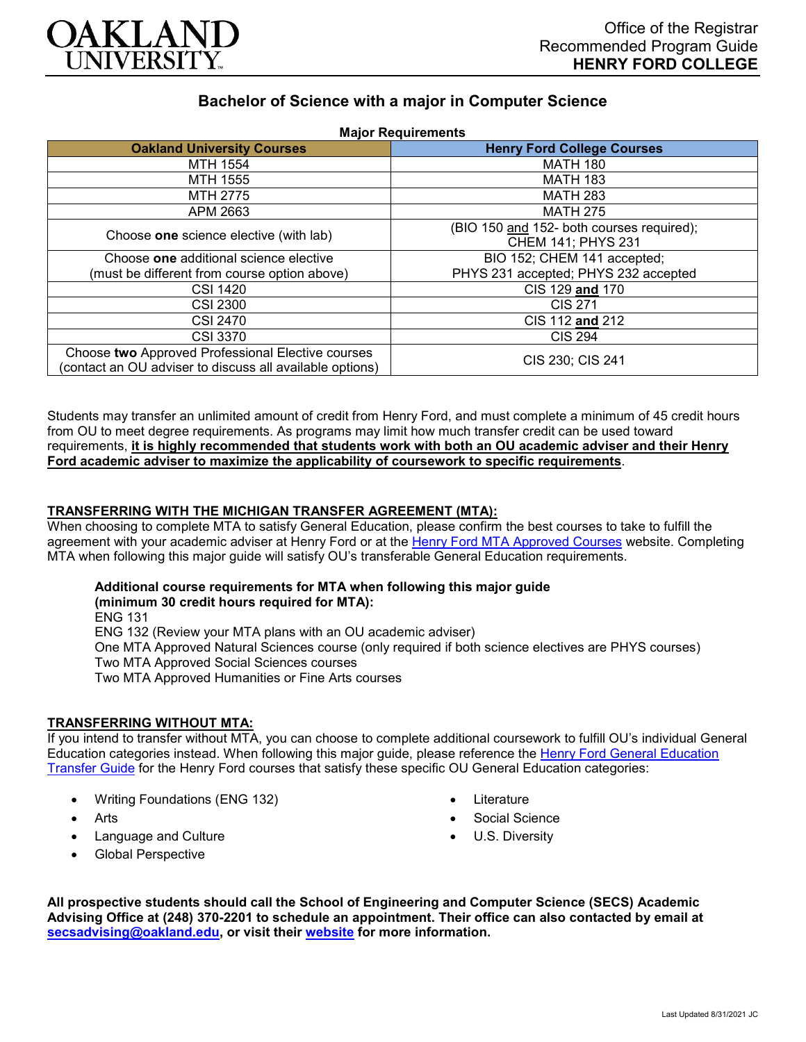

# **Bachelor of Science with a major in Computer Science Major Requirements**

| <b>Major Requirements</b>                                                                                     |                                           |
|---------------------------------------------------------------------------------------------------------------|-------------------------------------------|
| <b>Oakland University Courses</b>                                                                             | <b>Henry Ford College Courses</b>         |
| MTH 1554                                                                                                      | <b>MATH 180</b>                           |
| MTH 1555                                                                                                      | <b>MATH 183</b>                           |
| MTH 2775                                                                                                      | <b>MATH 283</b>                           |
| APM 2663                                                                                                      | <b>MATH 275</b>                           |
| Choose one science elective (with lab)                                                                        | (BIO 150 and 152- both courses required); |
|                                                                                                               | CHEM 141; PHYS 231                        |
| Choose one additional science elective                                                                        | BIO 152; CHEM 141 accepted;               |
| (must be different from course option above)                                                                  | PHYS 231 accepted; PHYS 232 accepted      |
| <b>CSI 1420</b>                                                                                               | CIS 129 and 170                           |
| <b>CSI 2300</b>                                                                                               | CIS 271                                   |
| CSI 2470                                                                                                      | CIS 112 and 212                           |
| <b>CSI 3370</b>                                                                                               | <b>CIS 294</b>                            |
| Choose two Approved Professional Elective courses<br>(contact an OU adviser to discuss all available options) | CIS 230; CIS 241                          |

Students may transfer an unlimited amount of credit from Henry Ford, and must complete a minimum of 45 credit hours from OU to meet degree requirements. As programs may limit how much transfer credit can be used toward requirements, **it is highly recommended that students work with both an OU academic adviser and their Henry Ford academic adviser to maximize the applicability of coursework to specific requirements**.

### **TRANSFERRING WITH THE MICHIGAN TRANSFER AGREEMENT (MTA):**

When choosing to complete MTA to satisfy General Education, please confirm the best courses to take to fulfill the agreement with your academic adviser at Henry Ford or at the [Henry Ford MTA Approved Courses](https://www.hfcc.edu/registration-and-records/mta/hfc-agreement) website. Completing MTA when following this major guide will satisfy OU's transferable General Education requirements.

## **Additional course requirements for MTA when following this major guide**

**(minimum 30 credit hours required for MTA):** ENG 131 ENG 132 (Review your MTA plans with an OU academic adviser) One MTA Approved Natural Sciences course (only required if both science electives are PHYS courses) Two MTA Approved Social Sciences courses Two MTA Approved Humanities or Fine Arts courses

## **TRANSFERRING WITHOUT MTA:**

If you intend to transfer without MTA, you can choose to complete additional coursework to fulfill OU's individual General Education categories instead. When following this major guide, please reference the Henry Ford General Education [Transfer Guide](https://www.oakland.edu/Assets/Oakland/program-guides/henry-ford-college/university-general-education-requirements/Henry%20Ford%20Gen%20Ed.pdf) for the Henry Ford courses that satisfy these specific OU General Education categories:

- Writing Foundations (ENG 132)
- Arts
- Language and Culture
- Global Perspective
- Literature
- Social Science
- U.S. Diversity

**All prospective students should call the School of Engineering and Computer Science (SECS) Academic Advising Office at (248) 370-2201 to schedule an appointment. Their office can also contacted by email at [secsadvising@oakland.edu,](mailto:secsadvising@oakland.edu) or visit their [website](https://wwwp.oakland.edu/secs/advising/) for more information.**